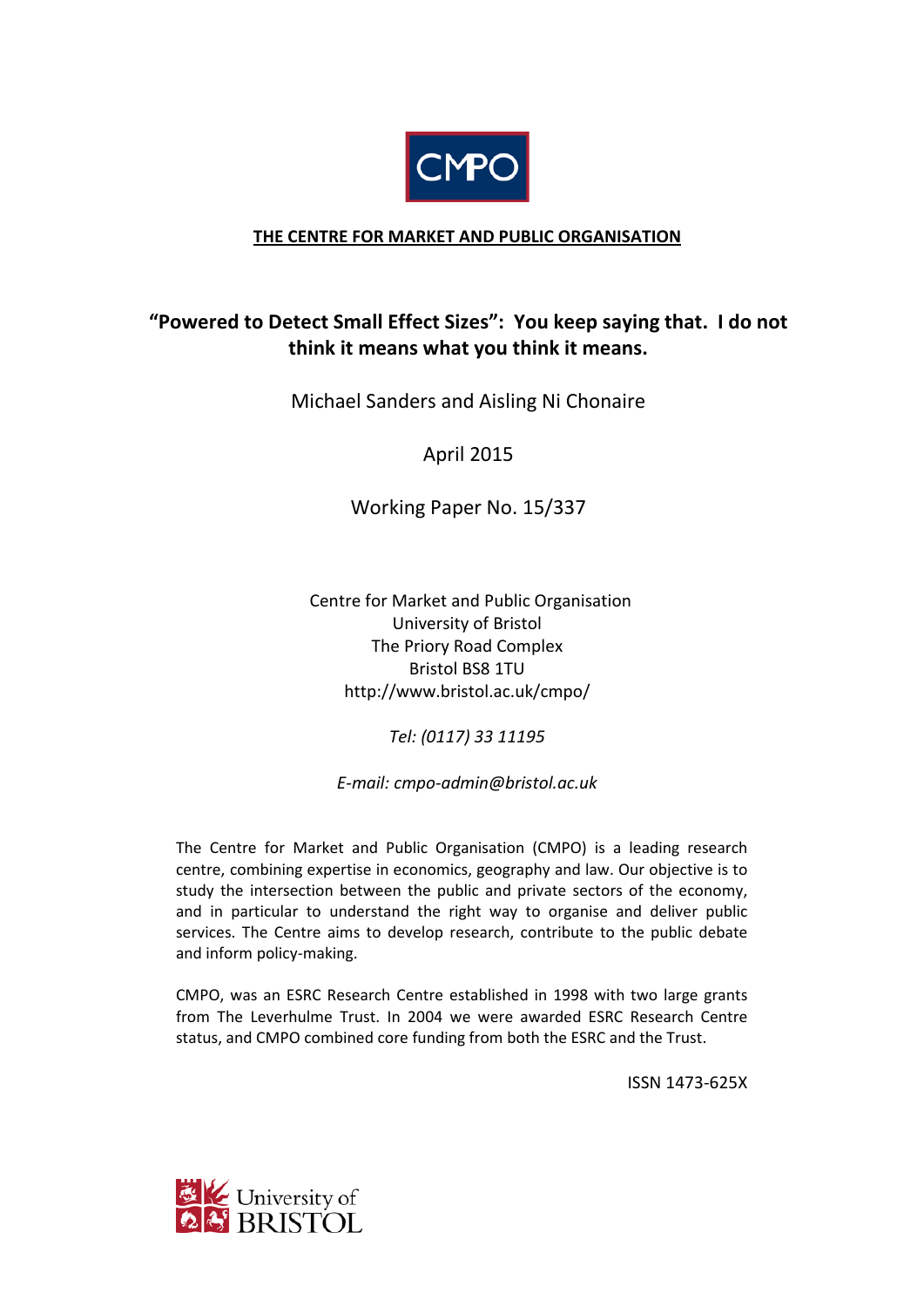

## **THE CENTRE FOR MARKET AND PUBLIC ORGANISATION**

## **"Powered to Detect Small Effect Sizes": You keep saying that. I do not think it means what you think it means.**

Michael Sanders and Aisling Ni Chonaire

April 2015

Working Paper No. 15/337

 Centre for Market and Public Organisation University of Bristol The Priory Road Complex Bristol BS8 1TU http://www.bristol.ac.uk/cmpo/

*Tel: (0117) 33 11195*

*E-mail: cmpo-admin@bristol.ac.uk*

The Centre for Market and Public Organisation (CMPO) is a leading research centre, combining expertise in economics, geography and law. Our objective is to study the intersection between the public and private sectors of the economy, and in particular to understand the right way to organise and deliver public services. The Centre aims to develop research, contribute to the public debate and inform policy-making.

CMPO, was an ESRC Research Centre established in 1998 with two large grants from The Leverhulme Trust. In 2004 we were awarded ESRC Research Centre status, and CMPO combined core funding from both the ESRC and the Trust.

ISSN 1473-625X

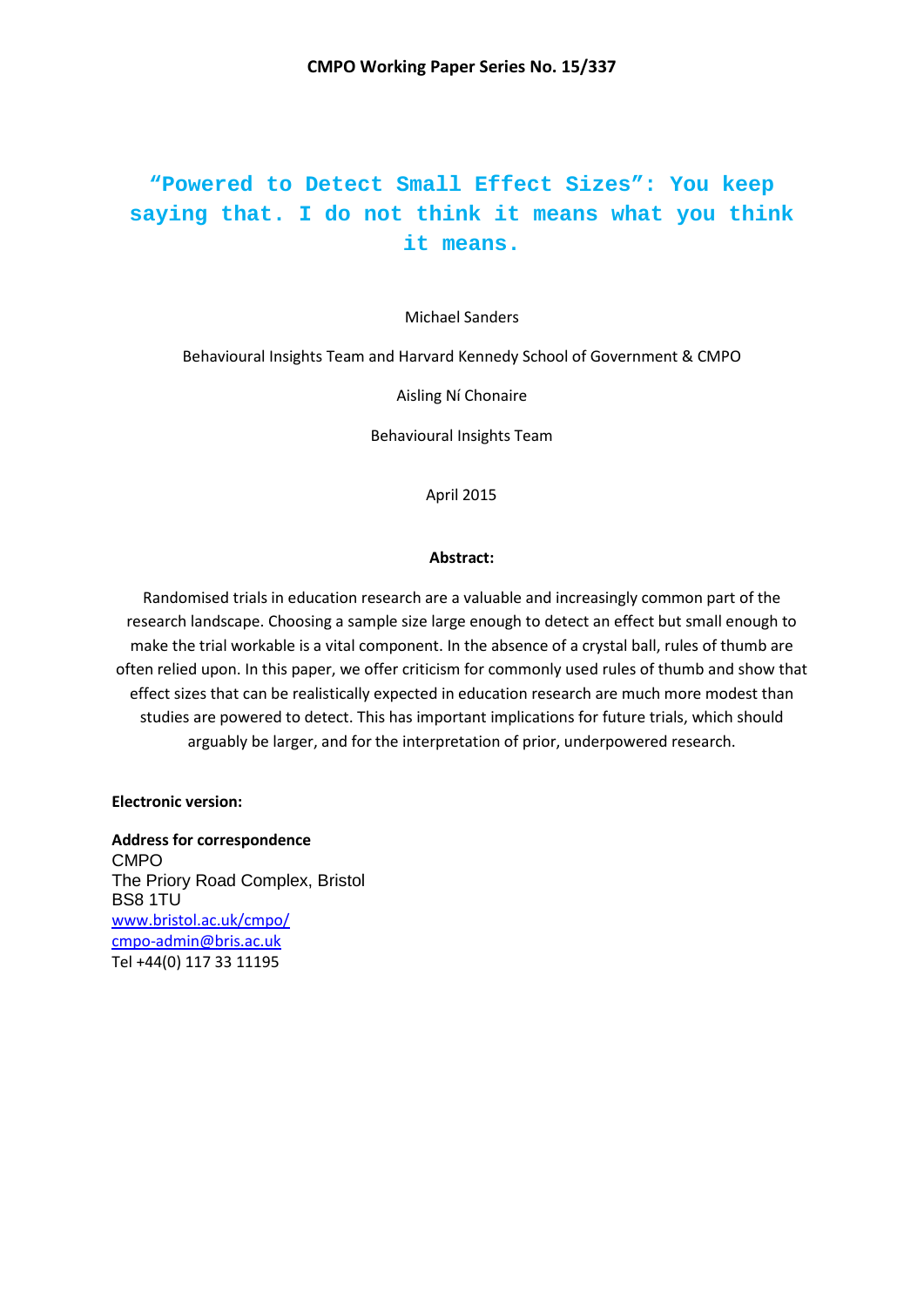# **"Powered to Detect Small Effect Sizes": You keep saying that. I do not think it means what you think it means.**

#### Michael Sanders

Behavioural Insights Team and Harvard Kennedy School of Government & CMPO

Aisling Ní Chonaire

Behavioural Insights Team

April 2015

#### **Abstract:**

Randomised trials in education research are a valuable and increasingly common part of the research landscape. Choosing a sample size large enough to detect an effect but small enough to make the trial workable is a vital component. In the absence of a crystal ball, rules of thumb are often relied upon. In this paper, we offer criticism for commonly used rules of thumb and show that effect sizes that can be realistically expected in education research are much more modest than studies are powered to detect. This has important implications for future trials, which should arguably be larger, and for the interpretation of prior, underpowered research.

**Electronic version:**

**Address for correspondence** CMPO The Priory Road Complex, Bristol BS8 1TU [www.bristol.ac.uk/cmpo/](http://www.bristol.ac.uk/cmpo/) cmpo-admin@bris.ac.uk Tel +44(0) 117 33 11195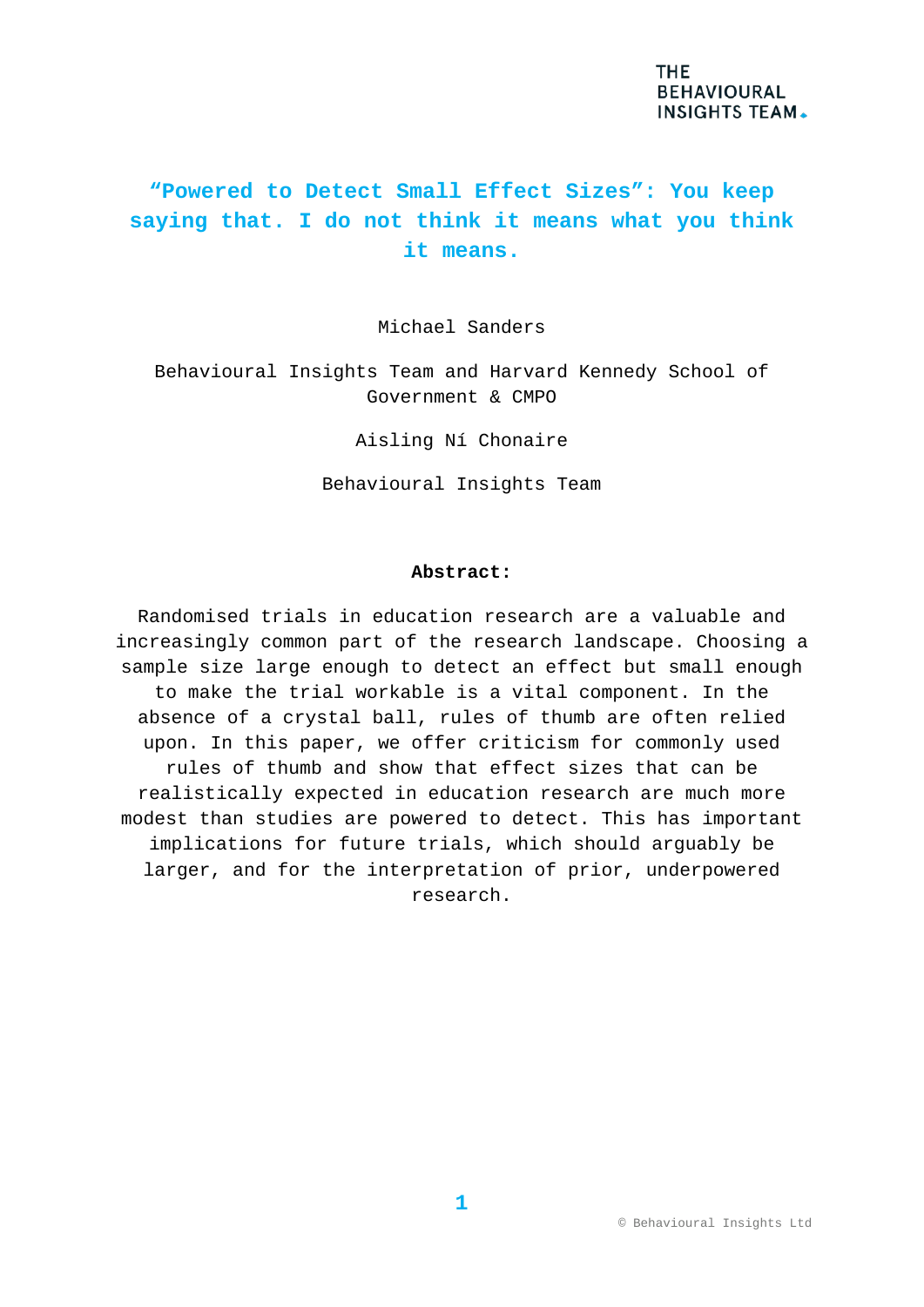# **"Powered to Detect Small Effect Sizes": You keep saying that. I do not think it means what you think it means.**

Michael Sanders

Behavioural Insights Team and Harvard Kennedy School of Government & CMPO

Aisling Ní Chonaire

Behavioural Insights Team

#### **Abstract:**

Randomised trials in education research are a valuable and increasingly common part of the research landscape. Choosing a sample size large enough to detect an effect but small enough to make the trial workable is a vital component. In the absence of a crystal ball, rules of thumb are often relied upon. In this paper, we offer criticism for commonly used rules of thumb and show that effect sizes that can be realistically expected in education research are much more modest than studies are powered to detect. This has important implications for future trials, which should arguably be larger, and for the interpretation of prior, underpowered research.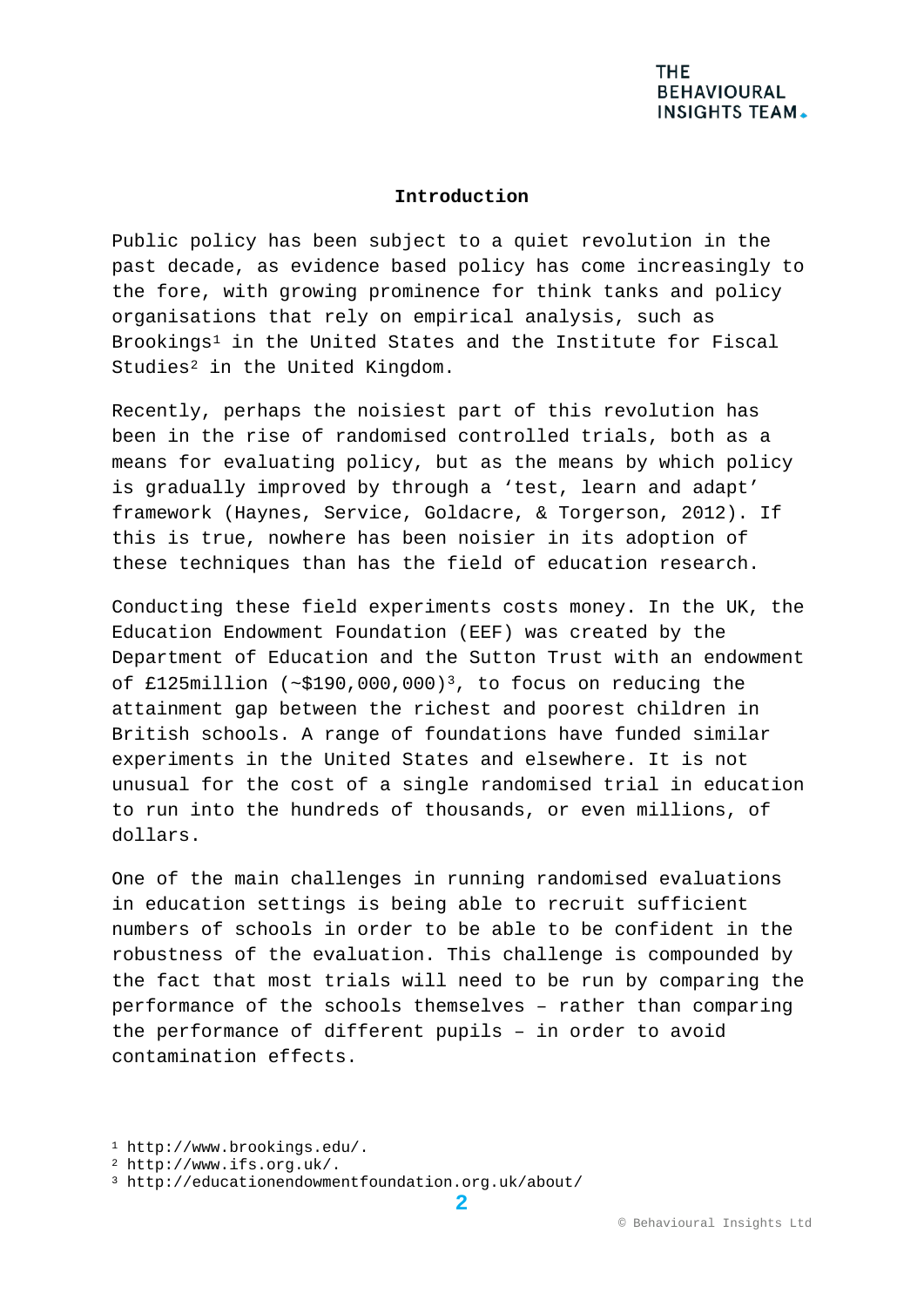#### **Introduction**

Public policy has been subject to a quiet revolution in the past decade, as evidence based policy has come increasingly to the fore, with growing prominence for think tanks and policy organisations that rely on empirical analysis, such as Brookings[1](#page-3-0) in the United States and the Institute for Fiscal Studies<sup>[2](#page-3-1)</sup> in the United Kingdom.

Recently, perhaps the noisiest part of this revolution has been in the rise of randomised controlled trials, both as a means for evaluating policy, but as the means by which policy is gradually improved by through a 'test, learn and adapt' framework (Haynes, Service, Goldacre, & Torgerson, 2012). If this is true, nowhere has been noisier in its adoption of these techniques than has the field of education research.

Conducting these field experiments costs money. In the UK, the Education Endowment Foundation (EEF) was created by the Department of Education and the Sutton Trust with an endowment of £125million  $({\sim}$ \$190,000,000)<sup>[3](#page-3-2)</sup>, to focus on reducing the attainment gap between the richest and poorest children in British schools. A range of foundations have funded similar experiments in the United States and elsewhere. It is not unusual for the cost of a single randomised trial in education to run into the hundreds of thousands, or even millions, of dollars.

One of the main challenges in running randomised evaluations in education settings is being able to recruit sufficient numbers of schools in order to be able to be confident in the robustness of the evaluation. This challenge is compounded by the fact that most trials will need to be run by comparing the performance of the schools themselves – rather than comparing the performance of different pupils – in order to avoid contamination effects.

<span id="page-3-0"></span><sup>1</sup> http://www.brookings.edu/.

<span id="page-3-1"></span><sup>2</sup> http://www.ifs.org.uk/.

<span id="page-3-2"></span><sup>3</sup> http://educationendowmentfoundation.org.uk/about/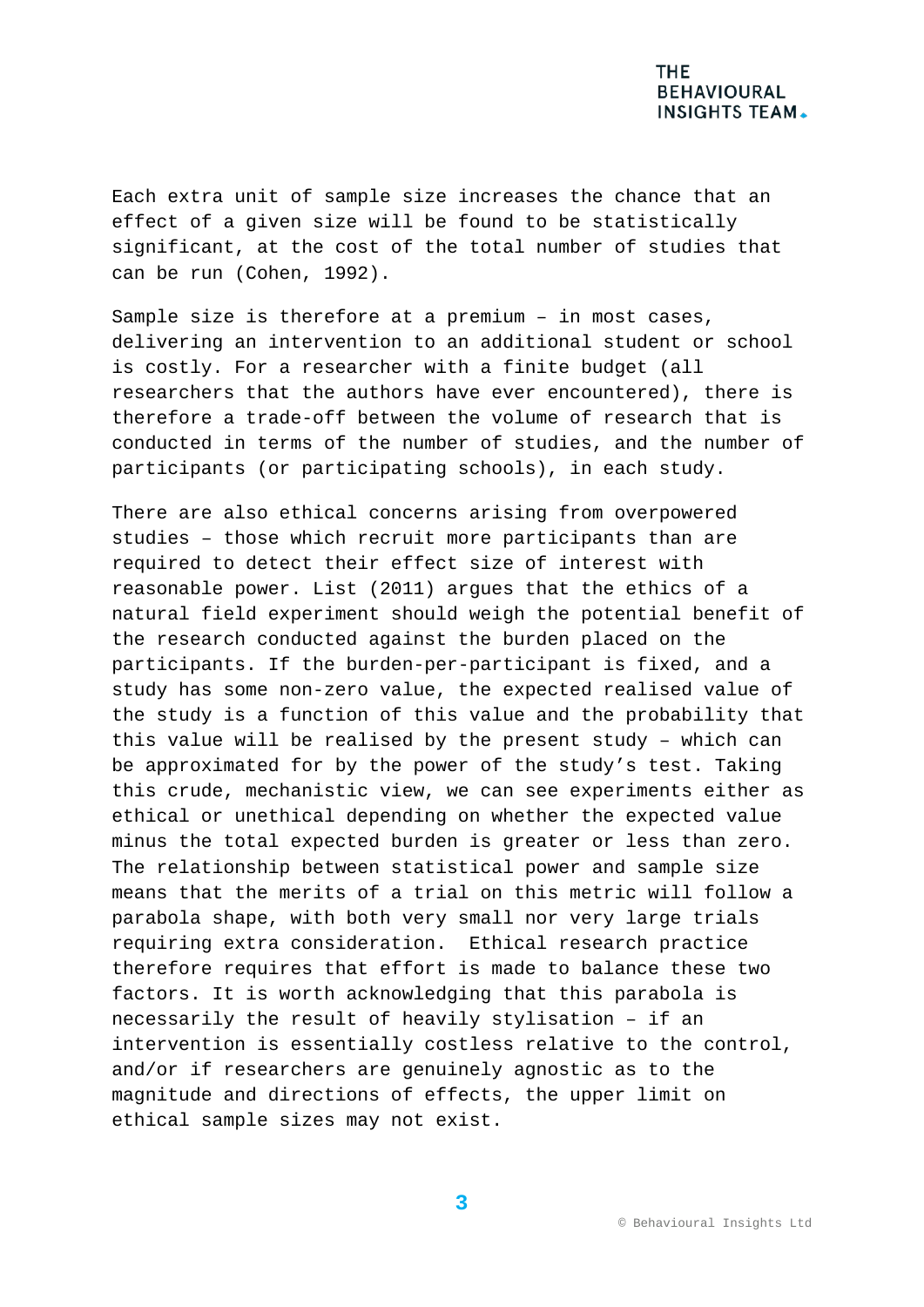Each extra unit of sample size increases the chance that an effect of a given size will be found to be statistically significant, at the cost of the total number of studies that can be run (Cohen, 1992).

Sample size is therefore at a premium – in most cases, delivering an intervention to an additional student or school is costly. For a researcher with a finite budget (all researchers that the authors have ever encountered), there is therefore a trade-off between the volume of research that is conducted in terms of the number of studies, and the number of participants (or participating schools), in each study.

There are also ethical concerns arising from overpowered studies – those which recruit more participants than are required to detect their effect size of interest with reasonable power. List (2011) argues that the ethics of a natural field experiment should weigh the potential benefit of the research conducted against the burden placed on the participants. If the burden-per-participant is fixed, and a study has some non-zero value, the expected realised value of the study is a function of this value and the probability that this value will be realised by the present study – which can be approximated for by the power of the study's test. Taking this crude, mechanistic view, we can see experiments either as ethical or unethical depending on whether the expected value minus the total expected burden is greater or less than zero. The relationship between statistical power and sample size means that the merits of a trial on this metric will follow a parabola shape, with both very small nor very large trials requiring extra consideration. Ethical research practice therefore requires that effort is made to balance these two factors. It is worth acknowledging that this parabola is necessarily the result of heavily stylisation – if an intervention is essentially costless relative to the control, and/or if researchers are genuinely agnostic as to the magnitude and directions of effects, the upper limit on ethical sample sizes may not exist.

**3**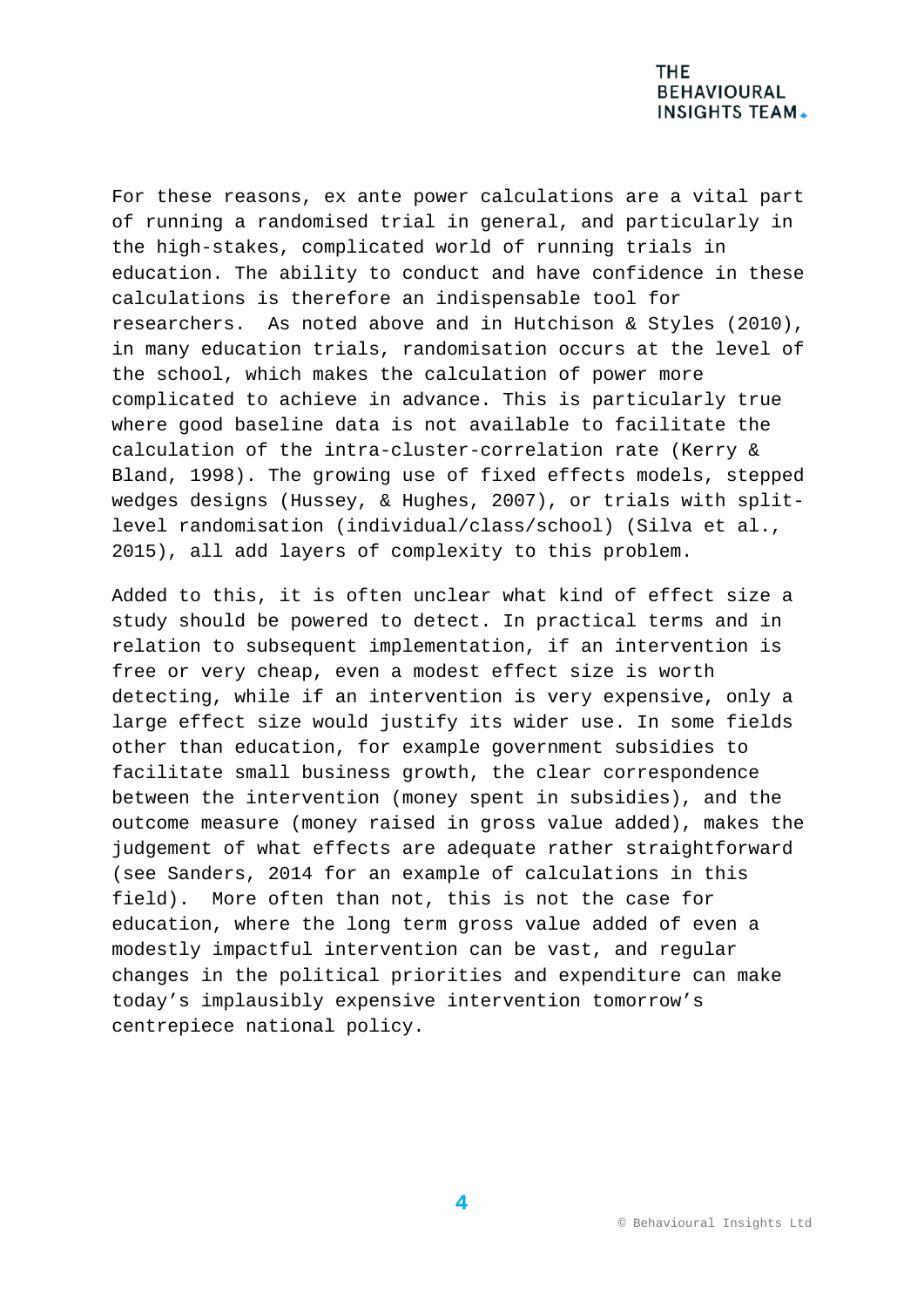For these reasons, ex ante power calculations are a vital part of running a randomised trial in general, and particularly in the high-stakes, complicated world of running trials in education. The ability to conduct and have confidence in these calculations is therefore an indispensable tool for researchers. As noted above and in Hutchison & Styles (2010), in many education trials, randomisation occurs at the level of the school, which makes the calculation of power more complicated to achieve in advance. This is particularly true where good baseline data is not available to facilitate the calculation of the intra-cluster-correlation rate (Kerry & Bland, 1998). The growing use of fixed effects models, stepped wedges designs (Hussey, & Hughes, 2007), or trials with splitlevel randomisation (individual/class/school) (Silva et al., 2015), all add layers of complexity to this problem.

Added to this, it is often unclear what kind of effect size a study should be powered to detect. In practical terms and in relation to subsequent implementation, if an intervention is free or very cheap, even a modest effect size is worth detecting, while if an intervention is very expensive, only a large effect size would justify its wider use. In some fields other than education, for example government subsidies to facilitate small business growth, the clear correspondence between the intervention (money spent in subsidies), and the outcome measure (money raised in gross value added), makes the judgement of what effects are adequate rather straightforward (see Sanders, 2014 for an example of calculations in this field). More often than not, this is not the case for education, where the long term gross value added of even a modestly impactful intervention can be vast, and regular changes in the political priorities and expenditure can make today's implausibly expensive intervention tomorrow's centrepiece national policy.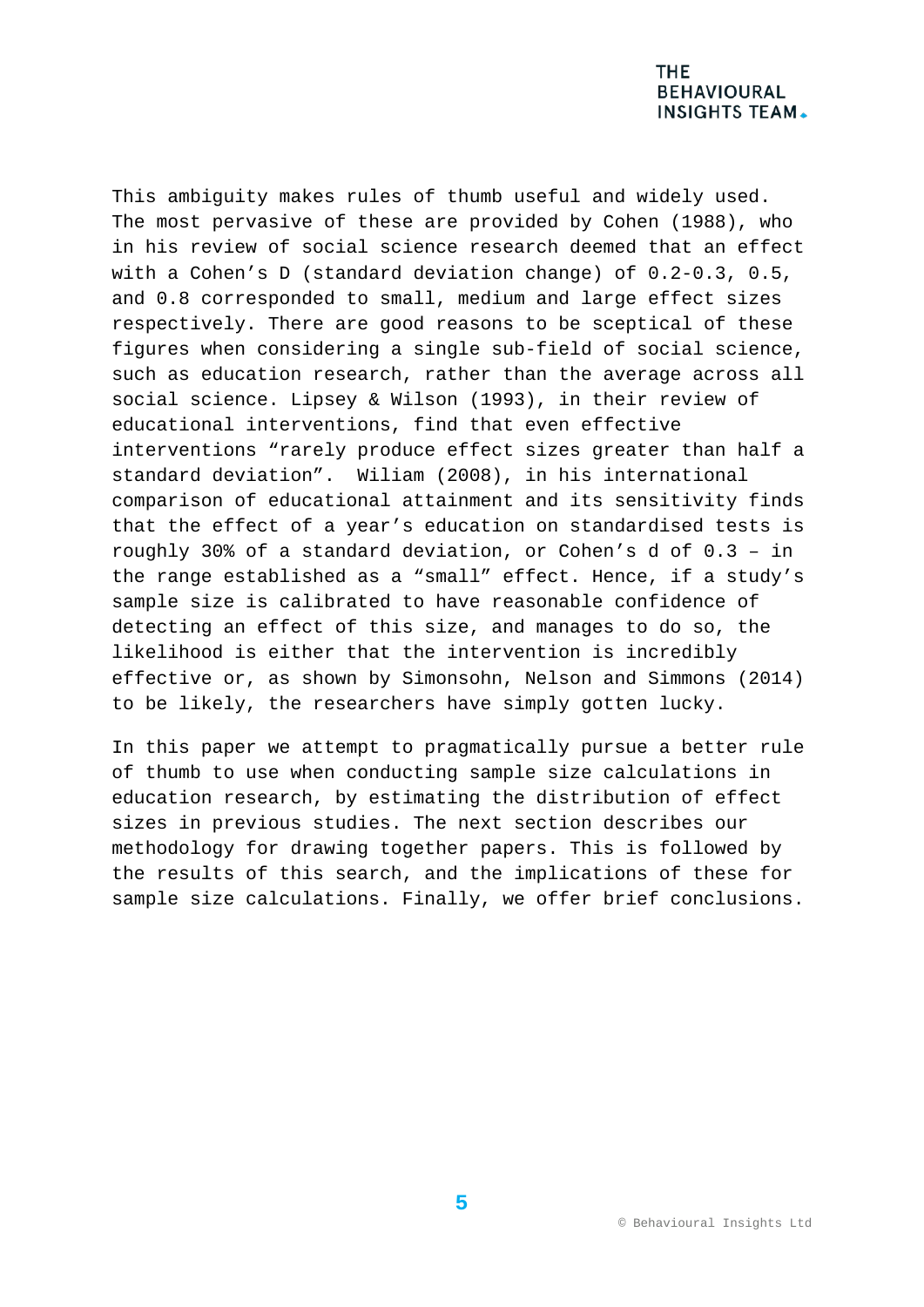This ambiguity makes rules of thumb useful and widely used. The most pervasive of these are provided by Cohen (1988), who in his review of social science research deemed that an effect with a Cohen's D (standard deviation change) of 0.2-0.3, 0.5, and 0.8 corresponded to small, medium and large effect sizes respectively. There are good reasons to be sceptical of these figures when considering a single sub-field of social science, such as education research, rather than the average across all social science. Lipsey & Wilson (1993), in their review of educational interventions, find that even effective interventions "rarely produce effect sizes greater than half a standard deviation". Wiliam (2008), in his international comparison of educational attainment and its sensitivity finds that the effect of a year's education on standardised tests is roughly 30% of a standard deviation, or Cohen's d of 0.3 – in the range established as a "small" effect. Hence, if a study's sample size is calibrated to have reasonable confidence of detecting an effect of this size, and manages to do so, the likelihood is either that the intervention is incredibly effective or, as shown by Simonsohn, Nelson and Simmons (2014) to be likely, the researchers have simply gotten lucky.

In this paper we attempt to pragmatically pursue a better rule of thumb to use when conducting sample size calculations in education research, by estimating the distribution of effect sizes in previous studies. The next section describes our methodology for drawing together papers. This is followed by the results of this search, and the implications of these for sample size calculations. Finally, we offer brief conclusions.

**5**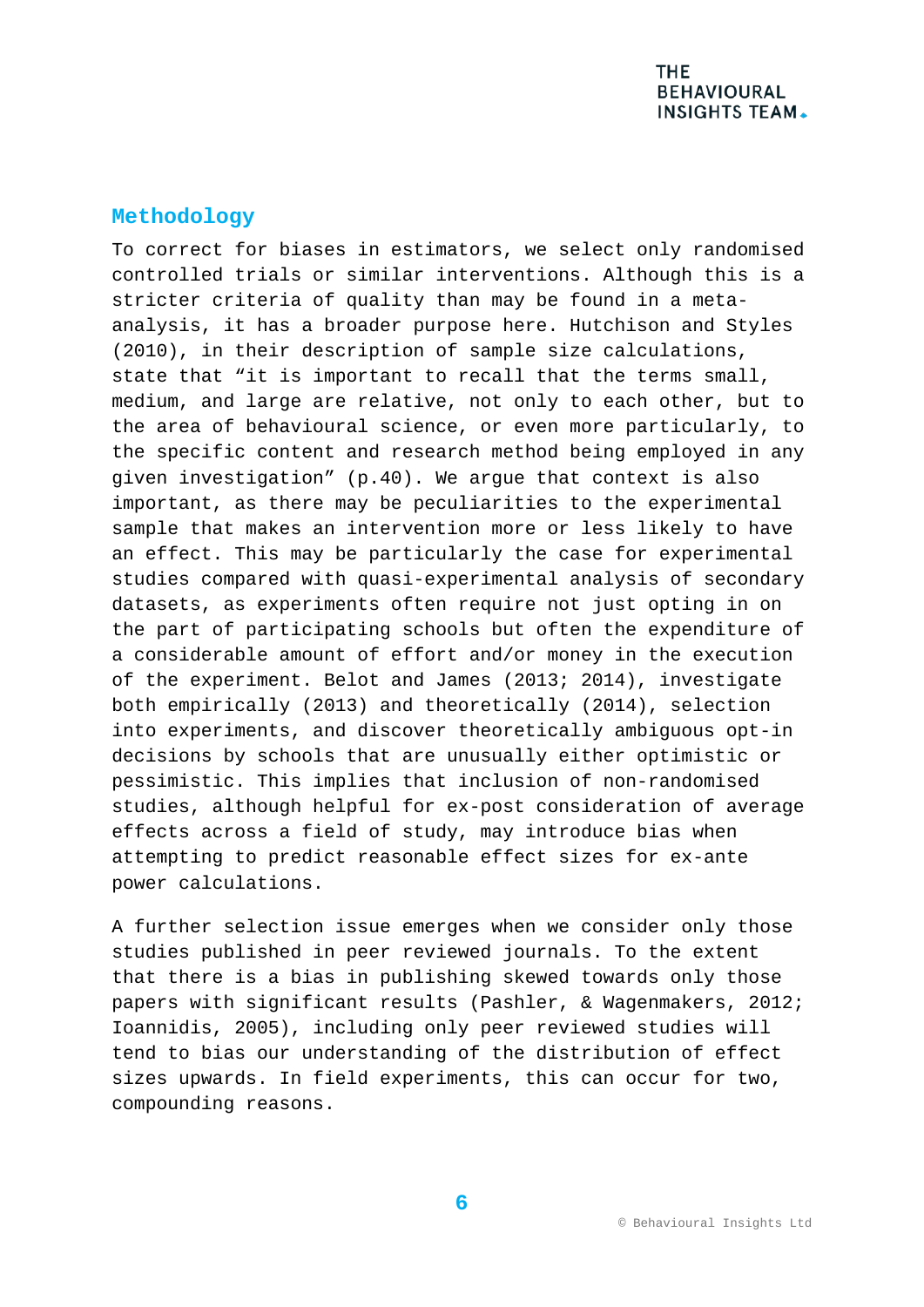## **Methodology**

To correct for biases in estimators, we select only randomised controlled trials or similar interventions. Although this is a stricter criteria of quality than may be found in a metaanalysis, it has a broader purpose here. Hutchison and Styles (2010), in their description of sample size calculations, state that "it is important to recall that the terms small, medium, and large are relative, not only to each other, but to the area of behavioural science, or even more particularly, to the specific content and research method being employed in any given investigation" (p.40). We argue that context is also important, as there may be peculiarities to the experimental sample that makes an intervention more or less likely to have an effect. This may be particularly the case for experimental studies compared with quasi-experimental analysis of secondary datasets, as experiments often require not just opting in on the part of participating schools but often the expenditure of a considerable amount of effort and/or money in the execution of the experiment. Belot and James (2013; 2014), investigate both empirically (2013) and theoretically (2014), selection into experiments, and discover theoretically ambiguous opt-in decisions by schools that are unusually either optimistic or pessimistic. This implies that inclusion of non-randomised studies, although helpful for ex-post consideration of average effects across a field of study, may introduce bias when attempting to predict reasonable effect sizes for ex-ante power calculations.

A further selection issue emerges when we consider only those studies published in peer reviewed journals. To the extent that there is a bias in publishing skewed towards only those papers with significant results (Pashler, & Wagenmakers, 2012; Ioannidis, 2005), including only peer reviewed studies will tend to bias our understanding of the distribution of effect sizes upwards. In field experiments, this can occur for two, compounding reasons.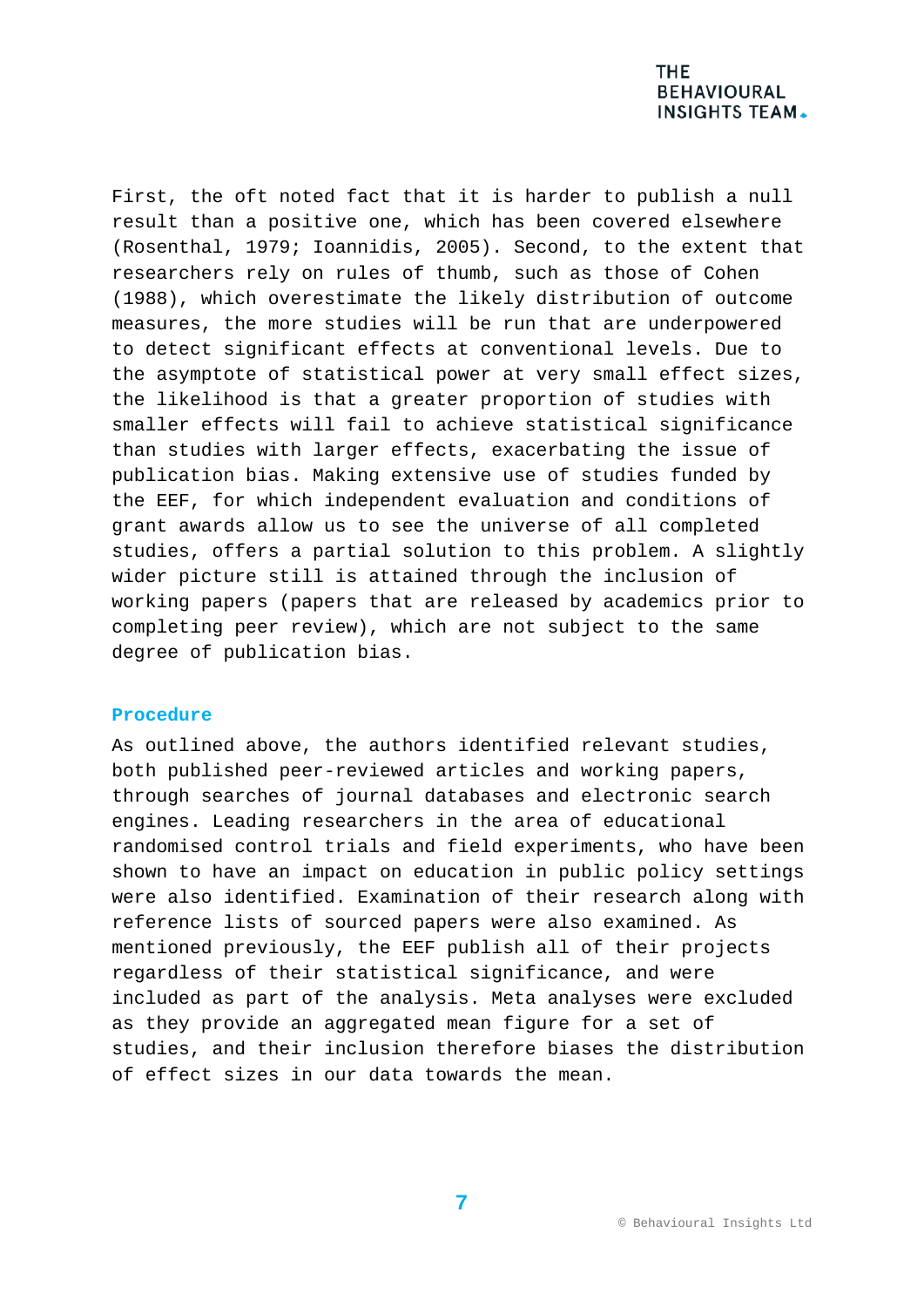First, the oft noted fact that it is harder to publish a null result than a positive one, which has been covered elsewhere (Rosenthal, 1979; Ioannidis, 2005). Second, to the extent that researchers rely on rules of thumb, such as those of Cohen (1988), which overestimate the likely distribution of outcome measures, the more studies will be run that are underpowered to detect significant effects at conventional levels. Due to the asymptote of statistical power at very small effect sizes, the likelihood is that a greater proportion of studies with smaller effects will fail to achieve statistical significance than studies with larger effects, exacerbating the issue of publication bias. Making extensive use of studies funded by the EEF, for which independent evaluation and conditions of grant awards allow us to see the universe of all completed studies, offers a partial solution to this problem. A slightly wider picture still is attained through the inclusion of working papers (papers that are released by academics prior to completing peer review), which are not subject to the same degree of publication bias.

#### **Procedure**

As outlined above, the authors identified relevant studies, both published peer-reviewed articles and working papers, through searches of journal databases and electronic search engines. Leading researchers in the area of educational randomised control trials and field experiments, who have been shown to have an impact on education in public policy settings were also identified. Examination of their research along with reference lists of sourced papers were also examined. As mentioned previously, the EEF publish all of their projects regardless of their statistical significance, and were included as part of the analysis. Meta analyses were excluded as they provide an aggregated mean figure for a set of studies, and their inclusion therefore biases the distribution of effect sizes in our data towards the mean.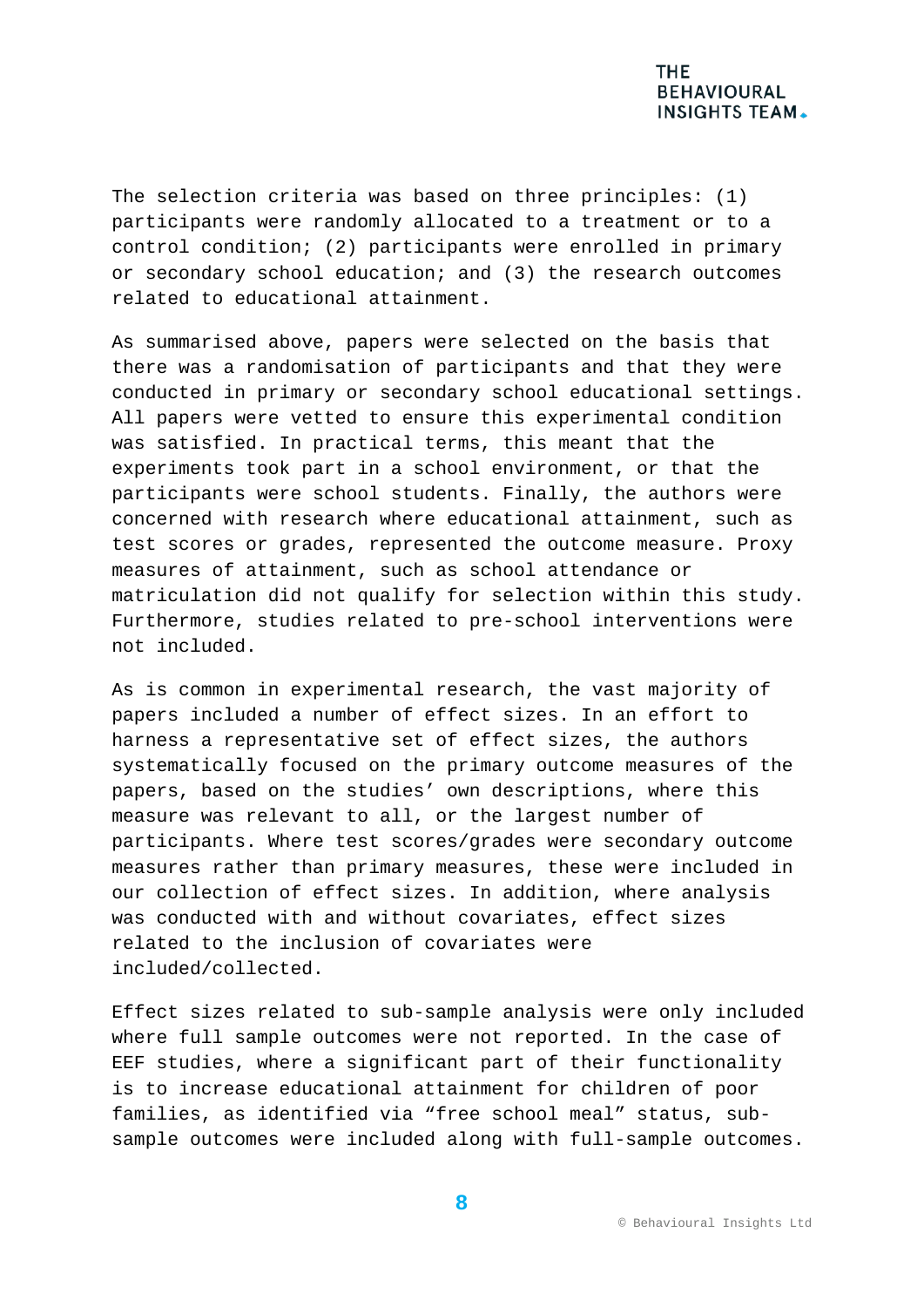The selection criteria was based on three principles: (1) participants were randomly allocated to a treatment or to a control condition; (2) participants were enrolled in primary or secondary school education; and (3) the research outcomes related to educational attainment.

As summarised above, papers were selected on the basis that there was a randomisation of participants and that they were conducted in primary or secondary school educational settings. All papers were vetted to ensure this experimental condition was satisfied. In practical terms, this meant that the experiments took part in a school environment, or that the participants were school students. Finally, the authors were concerned with research where educational attainment, such as test scores or grades, represented the outcome measure. Proxy measures of attainment, such as school attendance or matriculation did not qualify for selection within this study. Furthermore, studies related to pre-school interventions were not included.

As is common in experimental research, the vast majority of papers included a number of effect sizes. In an effort to harness a representative set of effect sizes, the authors systematically focused on the primary outcome measures of the papers, based on the studies' own descriptions, where this measure was relevant to all, or the largest number of participants. Where test scores/grades were secondary outcome measures rather than primary measures, these were included in our collection of effect sizes. In addition, where analysis was conducted with and without covariates, effect sizes related to the inclusion of covariates were included/collected.

Effect sizes related to sub-sample analysis were only included where full sample outcomes were not reported. In the case of EEF studies, where a significant part of their functionality is to increase educational attainment for children of poor families, as identified via "free school meal" status, subsample outcomes were included along with full-sample outcomes.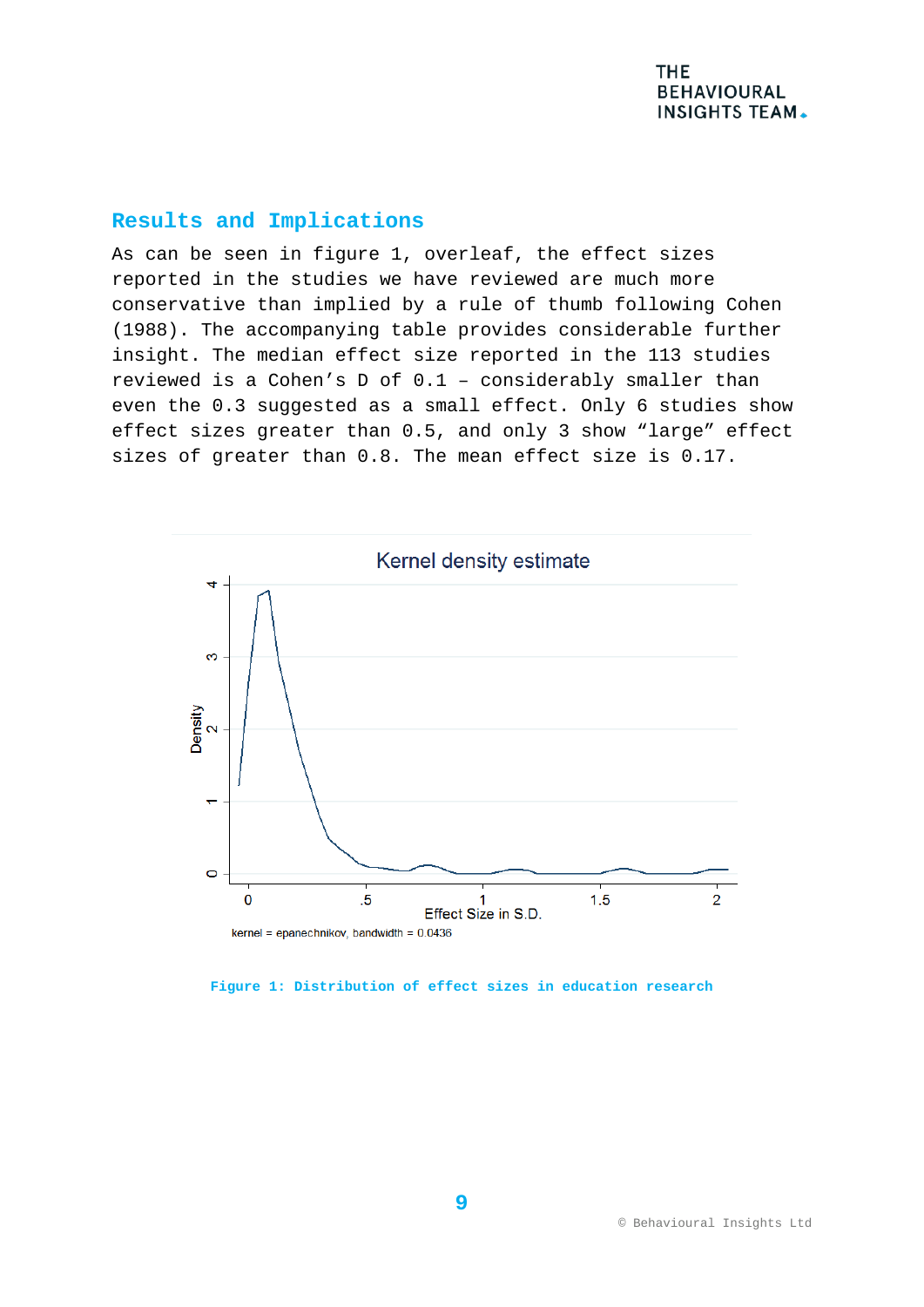## **Results and Implications**

As can be seen in figure 1, overleaf, the effect sizes reported in the studies we have reviewed are much more conservative than implied by a rule of thumb following Cohen (1988). The accompanying table provides considerable further insight. The median effect size reported in the 113 studies reviewed is a Cohen's D of 0.1 – considerably smaller than even the 0.3 suggested as a small effect. Only 6 studies show effect sizes greater than 0.5, and only 3 show "large" effect sizes of greater than 0.8. The mean effect size is 0.17.



**Figure 1: Distribution of effect sizes in education research**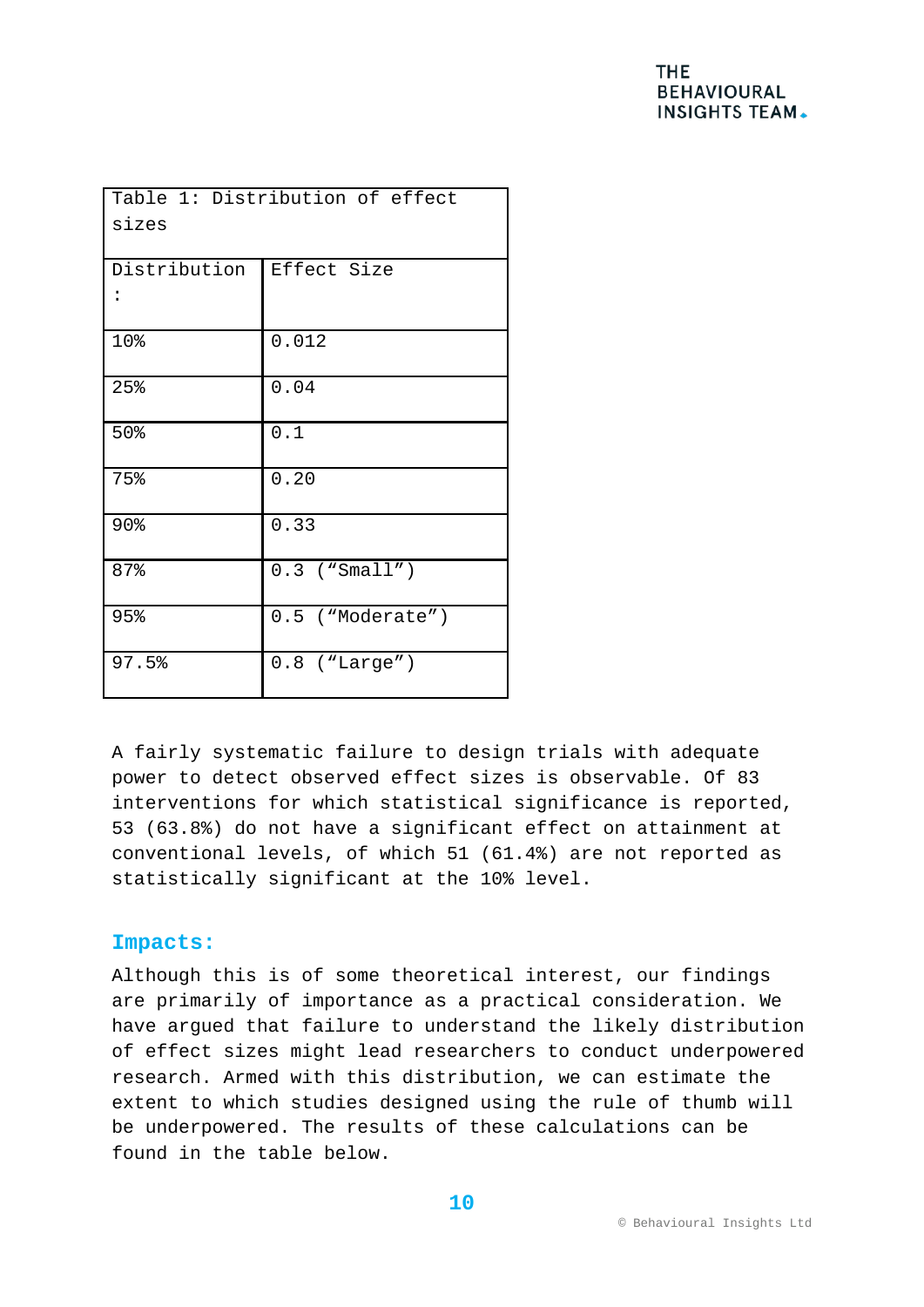| Table 1: Distribution of effect<br>sizes |                    |  |  |  |
|------------------------------------------|--------------------|--|--|--|
| Distribution                             | Effect Size        |  |  |  |
| 10%                                      | 0.012              |  |  |  |
| 25%                                      | 0.04               |  |  |  |
| 50%                                      | 0.1                |  |  |  |
| 75%                                      | 0.20               |  |  |  |
| 90%                                      | 0.33               |  |  |  |
| 87%                                      | $0.3$ ("Small")    |  |  |  |
| 95%                                      | $0.5$ ("Moderate") |  |  |  |
| 97.5%                                    | $0.8$ ("Large")    |  |  |  |

A fairly systematic failure to design trials with adequate power to detect observed effect sizes is observable. Of 83 interventions for which statistical significance is reported, 53 (63.8%) do not have a significant effect on attainment at conventional levels, of which 51 (61.4%) are not reported as statistically significant at the 10% level.

## **Impacts:**

Although this is of some theoretical interest, our findings are primarily of importance as a practical consideration. We have argued that failure to understand the likely distribution of effect sizes might lead researchers to conduct underpowered research. Armed with this distribution, we can estimate the extent to which studies designed using the rule of thumb will be underpowered. The results of these calculations can be found in the table below.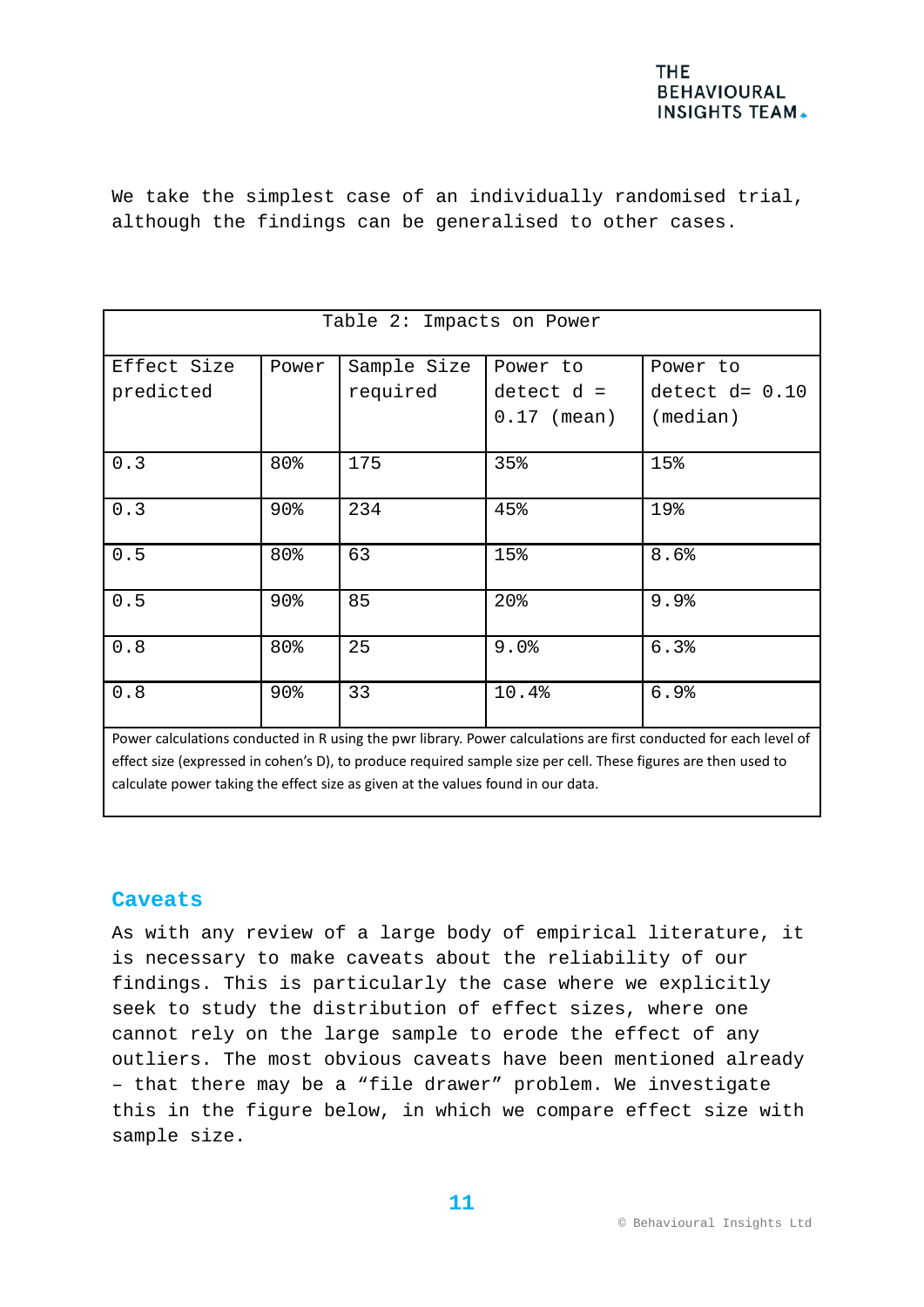

We take the simplest case of an individually randomised trial, although the findings can be generalised to other cases.

| Table 2: Impacts on Power |        |                         |                                           |                                                                                                                         |  |
|---------------------------|--------|-------------------------|-------------------------------------------|-------------------------------------------------------------------------------------------------------------------------|--|
| Effect Size<br>predicted  | Power  | Sample Size<br>required | Power to<br>$detect d =$<br>$0.17$ (mean) | Power to<br>detect $d=0.10$<br>(median)                                                                                 |  |
| 0.3                       | 80%    | 175                     | 35%                                       | 15%                                                                                                                     |  |
| 0.3                       | 90%    | 234                     | 45%                                       | 19%                                                                                                                     |  |
| 0.5                       | 80%    | 63                      | 15%                                       | 8.6%                                                                                                                    |  |
| 0.5                       | 90%    | 85                      | 20%                                       | 9.9%                                                                                                                    |  |
| 0.8                       | 80%    | 25                      | 9.0%                                      | 6.3%                                                                                                                    |  |
| 0.8                       | $90\%$ | 33                      | 10.4%                                     | 6.9%<br>Bower calculations conducted in Busing the pur library Bower calculations are first conducted for each level of |  |

Power calculations conducted in R using the pwr library. Power calculations are first conducted for each level of effect size (expressed in cohen's D), to produce required sample size per cell. These figures are then used to calculate power taking the effect size as given at the values found in our data.

### **Caveats**

As with any review of a large body of empirical literature, it is necessary to make caveats about the reliability of our findings. This is particularly the case where we explicitly seek to study the distribution of effect sizes, where one cannot rely on the large sample to erode the effect of any outliers. The most obvious caveats have been mentioned already – that there may be a "file drawer" problem. We investigate this in the figure below, in which we compare effect size with sample size.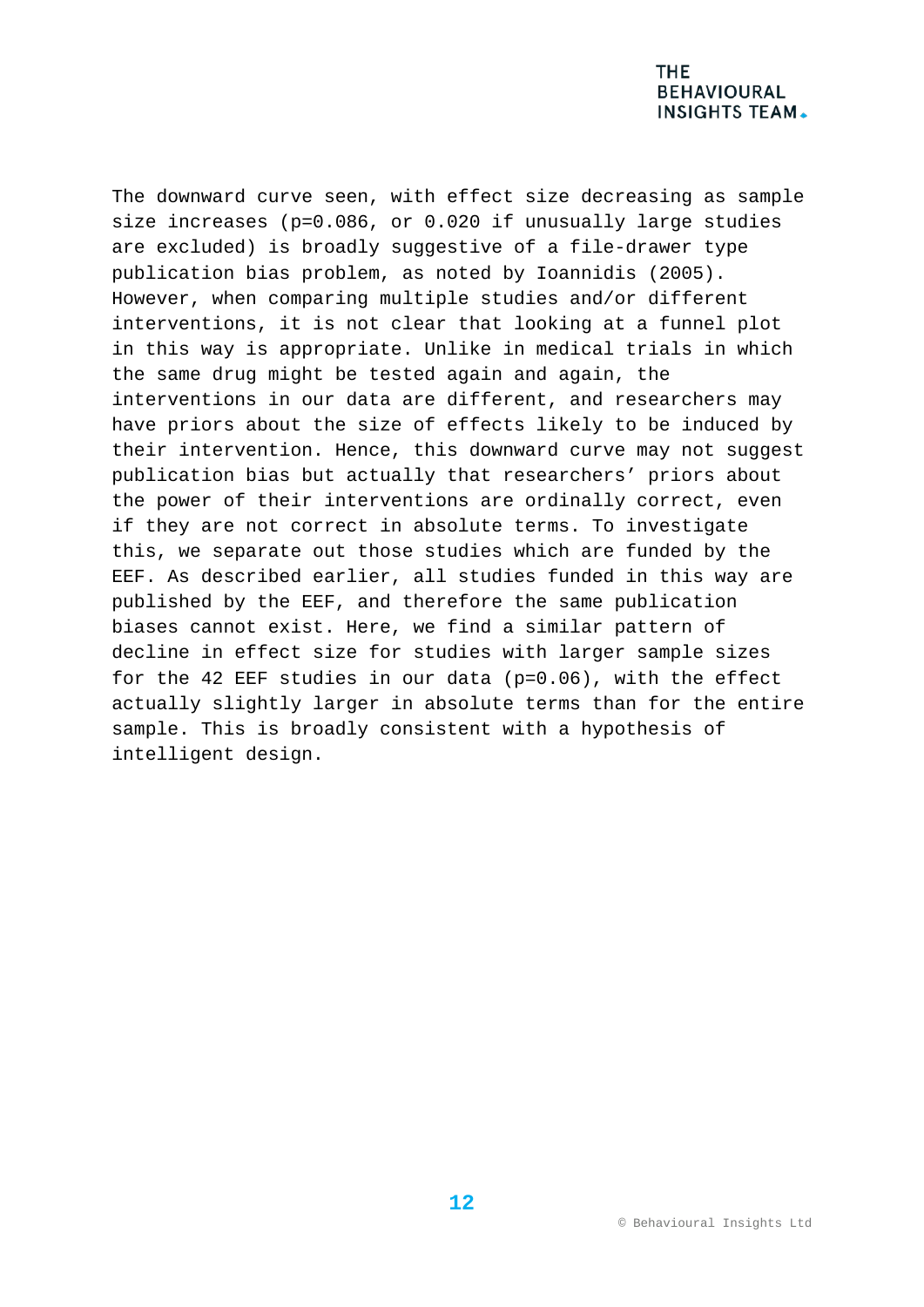The downward curve seen, with effect size decreasing as sample size increases (p=0.086, or 0.020 if unusually large studies are excluded) is broadly suggestive of a file-drawer type publication bias problem, as noted by Ioannidis (2005). However, when comparing multiple studies and/or different interventions, it is not clear that looking at a funnel plot in this way is appropriate. Unlike in medical trials in which the same drug might be tested again and again, the interventions in our data are different, and researchers may have priors about the size of effects likely to be induced by their intervention. Hence, this downward curve may not suggest publication bias but actually that researchers' priors about the power of their interventions are ordinally correct, even if they are not correct in absolute terms. To investigate this, we separate out those studies which are funded by the EEF. As described earlier, all studies funded in this way are published by the EEF, and therefore the same publication biases cannot exist. Here, we find a similar pattern of decline in effect size for studies with larger sample sizes for the 42 EEF studies in our data (p=0.06), with the effect actually slightly larger in absolute terms than for the entire sample. This is broadly consistent with a hypothesis of intelligent design.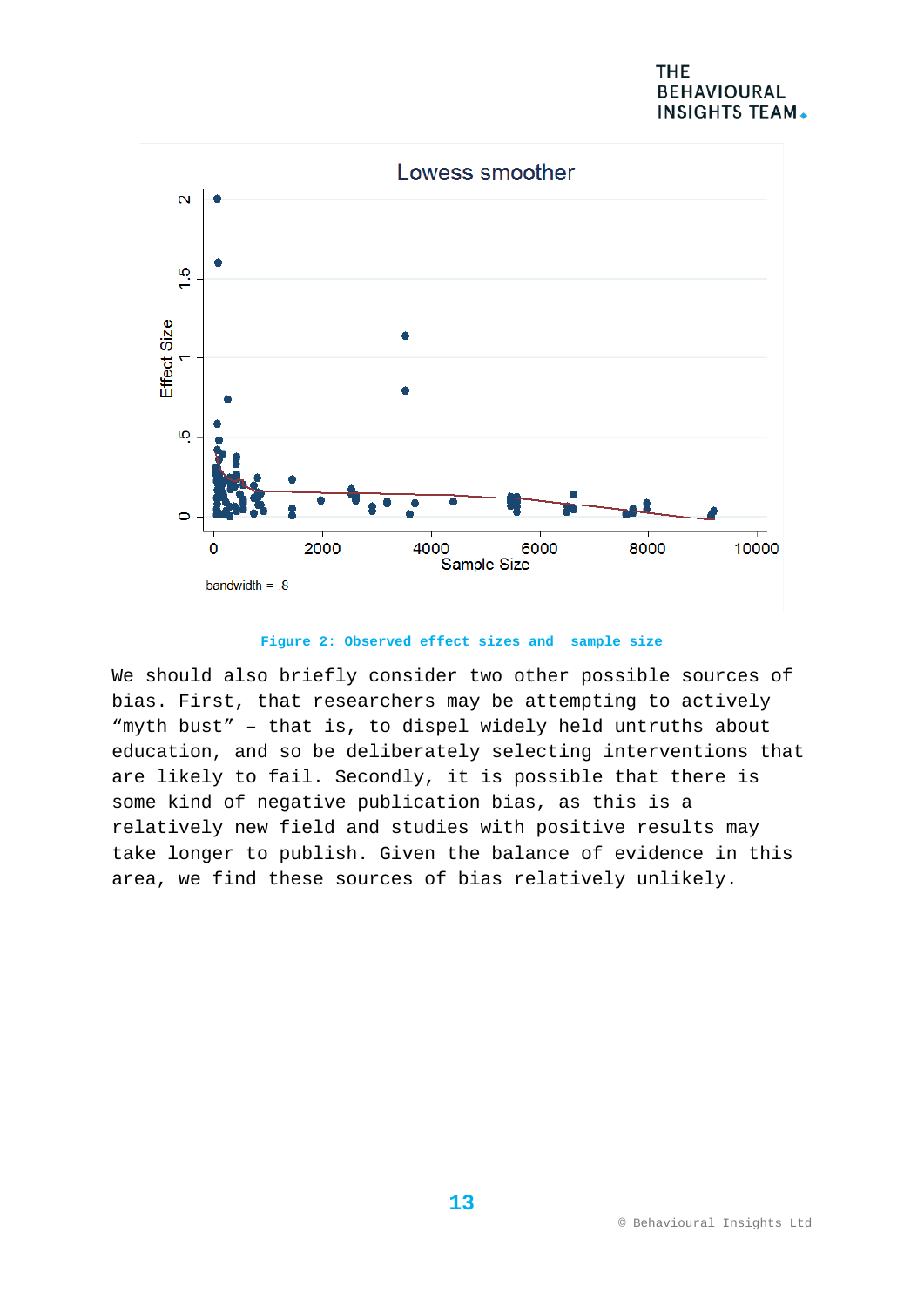## **THE BEHAVIOURAL INSIGHTS TEAM.**



#### **Figure 2: Observed effect sizes and sample size**

We should also briefly consider two other possible sources of bias. First, that researchers may be attempting to actively "myth bust" – that is, to dispel widely held untruths about education, and so be deliberately selecting interventions that are likely to fail. Secondly, it is possible that there is some kind of negative publication bias, as this is a relatively new field and studies with positive results may take longer to publish. Given the balance of evidence in this area, we find these sources of bias relatively unlikely.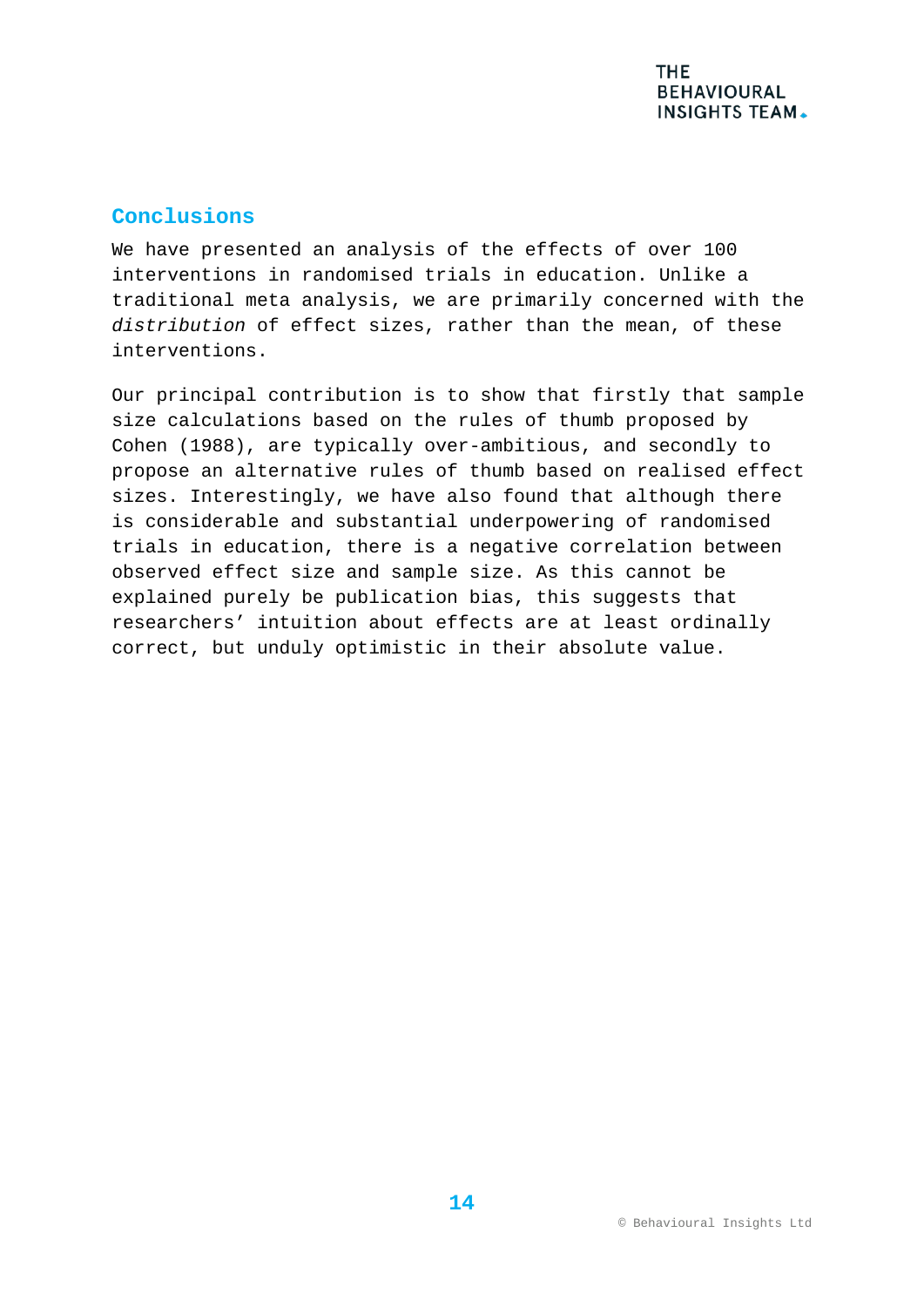## **Conclusions**

We have presented an analysis of the effects of over 100 interventions in randomised trials in education. Unlike a traditional meta analysis, we are primarily concerned with the *distribution* of effect sizes, rather than the mean, of these interventions.

Our principal contribution is to show that firstly that sample size calculations based on the rules of thumb proposed by Cohen (1988), are typically over-ambitious, and secondly to propose an alternative rules of thumb based on realised effect sizes. Interestingly, we have also found that although there is considerable and substantial underpowering of randomised trials in education, there is a negative correlation between observed effect size and sample size. As this cannot be explained purely be publication bias, this suggests that researchers' intuition about effects are at least ordinally correct, but unduly optimistic in their absolute value.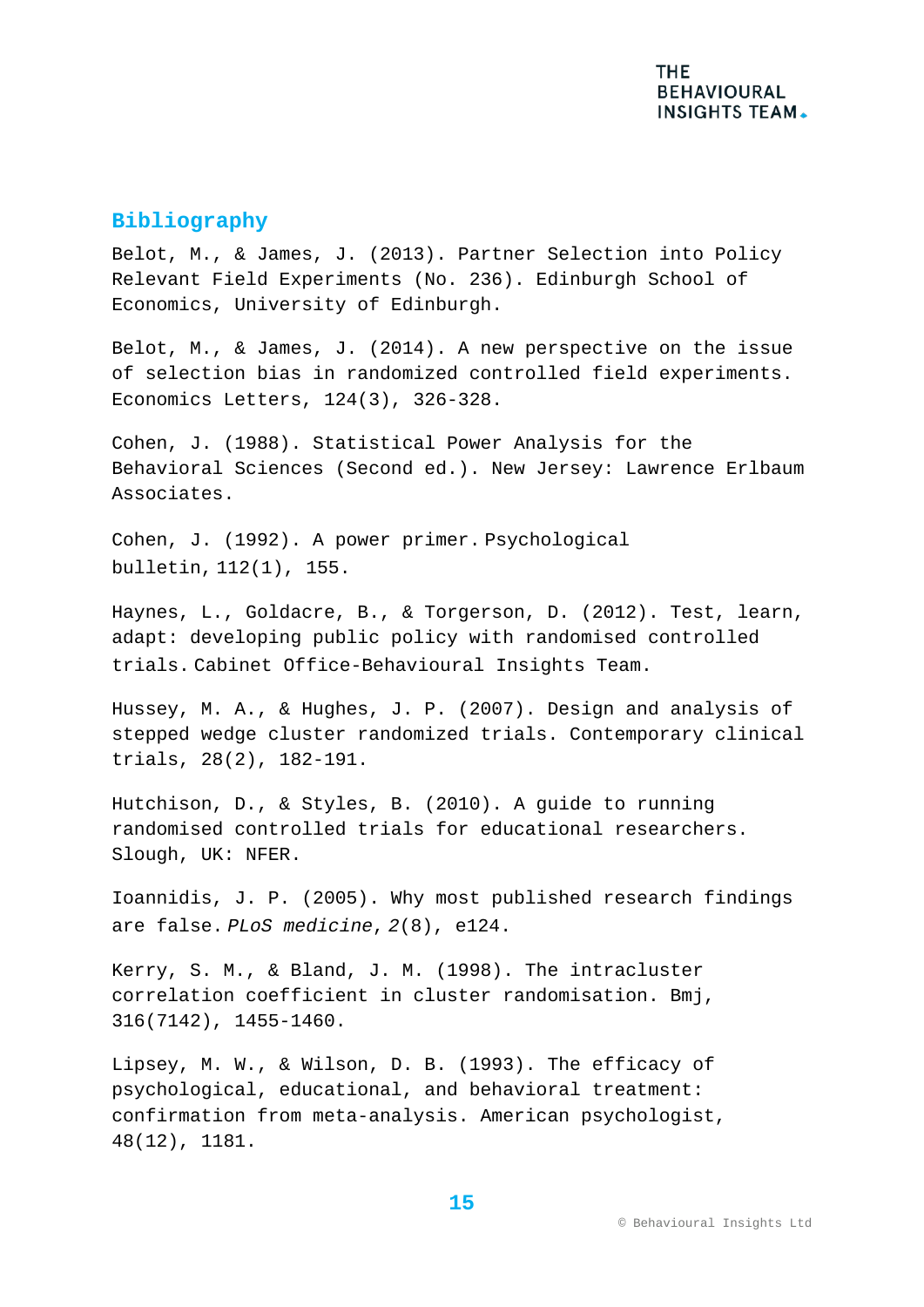## **Bibliography**

Belot, M., & James, J. (2013). Partner Selection into Policy Relevant Field Experiments (No. 236). Edinburgh School of Economics, University of Edinburgh.

Belot, M., & James, J. (2014). A new perspective on the issue of selection bias in randomized controlled field experiments. Economics Letters, 124(3), 326-328.

Cohen, J. (1988). Statistical Power Analysis for the Behavioral Sciences (Second ed.). New Jersey: Lawrence Erlbaum Associates.

Cohen, J. (1992). A power primer. Psychological bulletin, 112(1), 155.

Haynes, L., Goldacre, B., & Torgerson, D. (2012). Test, learn, adapt: developing public policy with randomised controlled trials. Cabinet Office-Behavioural Insights Team.

Hussey, M. A., & Hughes, J. P. (2007). Design and analysis of stepped wedge cluster randomized trials. Contemporary clinical trials, 28(2), 182-191.

Hutchison, D., & Styles, B. (2010). A guide to running randomised controlled trials for educational researchers. Slough, UK: NFER.

Ioannidis, J. P. (2005). Why most published research findings are false. *PLoS medicine*, *2*(8), e124.

Kerry, S. M., & Bland, J. M. (1998). The intracluster correlation coefficient in cluster randomisation. Bmj, 316(7142), 1455-1460.

Lipsey, M. W., & Wilson, D. B. (1993). The efficacy of psychological, educational, and behavioral treatment: confirmation from meta-analysis. American psychologist, 48(12), 1181.